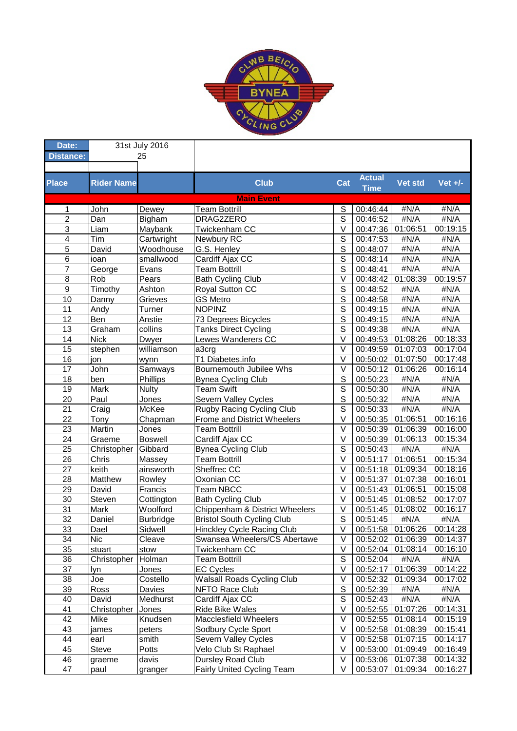

| Date:                   | 31st July 2016    |                  |                                   |                |               |                     |                                |
|-------------------------|-------------------|------------------|-----------------------------------|----------------|---------------|---------------------|--------------------------------|
| <b>Distance:</b>        |                   | 25               |                                   |                |               |                     |                                |
|                         |                   |                  |                                   |                |               |                     |                                |
| <b>Place</b>            |                   |                  | <b>Club</b>                       |                | <b>Actual</b> | Vet std             | $Vert +/$ -                    |
|                         | <b>Rider Name</b> |                  |                                   | Cat            | <b>Time</b>   |                     |                                |
|                         |                   |                  | <b>Main Event</b>                 |                |               |                     |                                |
| 1                       | John              | Dewey            | <b>Team Bottrill</b>              | S              | 00:46:44      | #N/A                | #N/A                           |
| $\overline{2}$          | Dan               | Bigham           | DRAG2ZERO                         | S              | 00:46:52      | #N/A                | #N/A                           |
| $\overline{3}$          | Liam              | Maybank          | Twickenham CC                     | $\vee$         | 00:47:36      | 01:06:51            | 00:19:15                       |
| $\overline{\mathbf{4}}$ | Tim               | Cartwright       | Newbury RC                        | $\mathbf S$    | 00:47:53      | #N/A                | #N/A                           |
| $\overline{5}$          | David             | Woodhouse        | G.S. Henley                       | $\overline{s}$ | 00:48:07      | #N/A                | #N/A                           |
| $6\phantom{1}6$         | ioan              | smallwood        | Cardiff Ajax CC                   | $\overline{s}$ | 00:48:14      | #N/A                | #N/A                           |
| $\overline{7}$          | George            | Evans            | <b>Team Bottrill</b>              | $\overline{s}$ | 00:48:41      | #N/A                | #N/A                           |
| 8                       | Rob               | Pears            | <b>Bath Cycling Club</b>          | V              | 00:48:42      | 01:08:39            | 00:19:57                       |
| $\boldsymbol{9}$        | Timothy           | Ashton           | Royal Sutton CC                   | S              | 00:48:52      | #N/A                | #N/A                           |
| 10                      | Danny             | Grieves          | <b>GS Metro</b>                   | $\mathbf S$    | 00:48:58      | #N/A                | #N/A                           |
| 11                      | Andy              | Turner           | <b>NOPINZ</b>                     | $\overline{s}$ | 00:49:15      | #N/A                | #N/A                           |
| 12                      | Ben               | Anstie           | 73 Degrees Bicycles               | $\overline{s}$ | 00:49:15      | #N/A                | #N/A                           |
| 13                      | Graham            | collins          | <b>Tanks Direct Cycling</b>       | $\overline{s}$ | 00:49:38      | #N/A                | #N/A                           |
| 14                      | <b>Nick</b>       | Dwyer            | Lewes Wanderers CC                | $\vee$         | 00:49:53      | 01:08:26            | 00:18:33                       |
| 15                      | stephen           | williamson       | a3crg                             | $\vee$         | 00:49:59      | 01:07:03            | 00:17:04                       |
| 16                      | jon               | wynn             | T1 Diabetes.info                  | $\vee$         | 00:50:02      | 01:07:50            | 00:17:48                       |
| 17                      | John              | Samways          | Bournemouth Jubilee Whs           | $\vee$         | 00:50:12      | 01:06:26            | 00:16:14                       |
| 18                      | ben               | Phillips         | <b>Bynea Cycling Club</b>         | S              | 00:50:23      | #N/A                | #N/A                           |
| 19                      | Mark              | <b>Nulty</b>     | <b>Team Swift</b>                 | $\mathsf{S}$   | 00:50:30      | #N/A                | #N/A                           |
| 20                      | Paul              | Jones            | Severn Valley Cycles              | $\overline{s}$ | 00:50:32      | #N/A                | #N/A                           |
| 21                      | Craig             | McKee            | Rugby Racing Cycling Club         | S              | 00:50:33      | #N/A                | #N/A                           |
| 22                      | Tony              | Chapman          | Frome and District Wheelers       | $\vee$         | 00:50:35      | 01:06:51            | 00:16:16                       |
| 23                      | Martin            | Jones            | <b>Team Bottrill</b>              | $\vee$         | 00:50:39      | 01:06:39            | 00:16:00                       |
| 24                      | Graeme            | <b>Boswell</b>   | Cardiff Ajax CC                   | $\vee$         | 00:50:39      | 01:06:13            | 00:15:34                       |
| $\overline{25}$         | Christopher       | Gibbard          | <b>Bynea Cycling Club</b>         | $\overline{s}$ | 00:50:43      | #N/A                | #N/A                           |
| 26                      | Chris             | Massey           | <b>Team Bottrill</b>              | $\vee$         | 00:51:17      | 01:06:51            | 00:15:34                       |
| 27                      | keith             | ainsworth        | Sheffrec CC                       | $\vee$         | 00:51:18      | 01:09:34            | 00:18:16                       |
| 28                      | Matthew           | Rowley           | Oxonian CC                        | $\vee$         | 00:51:37      | 01:07:38            | 00:16:01                       |
| 29                      | David             | Francis          | <b>Team NBCC</b>                  | V              | 00:51:43      | 01:06:51            | 00:15:08                       |
| 30                      | Steven            | Cottington       | <b>Bath Cycling Club</b>          | $\vee$         | 00:51:45      | 01:08:52            | 00:17:07                       |
| 31                      | <b>Mark</b>       | Woolford         | Chippenham & District Wheelers    | $\vee$         | 00:51:45      | 01:08:02            | 00:16:17                       |
| 32                      | Daniel            | <b>Burbridge</b> | <b>Bristol South Cycling Club</b> | $\mathsf S$    | 00:51:45      | #N/A                | #N/A                           |
| 33                      | Dael              | Sidwell          | <b>Hinckley Cycle Racing Club</b> | $\sf V$        |               |                     | 00:51:58 01:06:26 00:14:28     |
| 34                      | Nic               | Cleave           | Swansea Wheelers/CS Abertawe      | V              |               |                     | 00:52:02   01:06:39   00:14:37 |
| 35                      | stuart            | stow             | Twickenham CC                     | V              |               | 00:52:04   01:08:14 | 00:16:10                       |
| 36                      | Christopher       | Holman           | <b>Team Bottrill</b>              | S              | 00:52:04      | #N/A                | #N/A                           |
| 37                      | lyn               | Jones            | EC Cycles                         | V              | 00:52:17      | 01:06:39            | 00:14:22                       |
| 38                      | Joe               | Costello         | <b>Walsall Roads Cycling Club</b> | V              | 00:52:32      | 01:09:34            | 00:17:02                       |
| 39                      | Ross              | Davies           | NFTO Race Club                    | $\mathsf S$    | 00:52:39      | #N/A                | #N/A                           |
| 40                      | David             | Medhurst         | Cardiff Ajax CC                   | S              | 00:52:43      | #N/A                | #N/A                           |
| 41                      | Christopher       | Jones            | Ride Bike Wales                   | V              | 00:52:55      | 01:07:26            | 00:14:31                       |
| 42                      | Mike              | Knudsen          | <b>Macclesfield Wheelers</b>      | $\vee$         | 00:52:55      | 01:08:14            | 00:15:19                       |
| 43                      | james             | peters           | Sodbury Cycle Sport               | $\vee$         | 00:52:58      | 01:08:39            | 00:15:41                       |
| 44                      | earl              | smith            | Severn Valley Cycles              | $\vee$         | 00:52:58      | 01:07:15            | 00:14:17                       |
| 45                      | <b>Steve</b>      | Potts            | Velo Club St Raphael              | $\vee$         | 00:53:00      | 01:09:49            | 00:16:49                       |
| 46                      | graeme            | davis            | Dursley Road Club                 | V              |               | 00:53:06   01:07:38 | 00:14:32                       |
| 47                      | paul              | granger          | Fairly United Cycling Team        | V              | 00:53:07      | 01:09:34            | 00:16:27                       |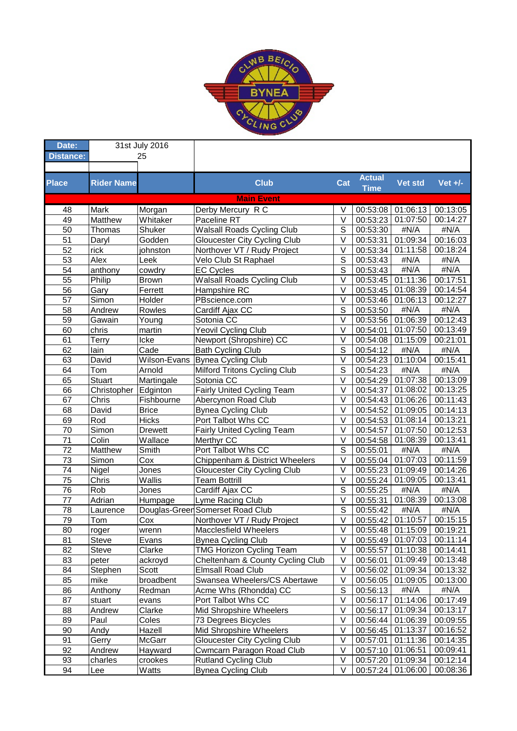

| Date:            | 31st July 2016    |                |                                     |                   |               |                   |                       |
|------------------|-------------------|----------------|-------------------------------------|-------------------|---------------|-------------------|-----------------------|
| <b>Distance:</b> |                   | 25             |                                     |                   |               |                   |                       |
|                  |                   |                |                                     |                   |               |                   |                       |
| <b>Place</b>     | <b>Rider Name</b> |                | <b>Club</b>                         | Cat               | <b>Actual</b> | Vet std           | Vet $+/-$             |
|                  |                   |                |                                     |                   | <b>Time</b>   |                   |                       |
|                  |                   |                | <b>Main Event</b>                   |                   |               |                   |                       |
| 48               | Mark              | Morgan         | Derby Mercury R C                   | V                 | 00:53:08      | 01:06:13          | 00:13:05              |
| 49               | Matthew           | Whitaker       | Paceline RT                         | $\vee$            | 00:53:23      | 01:07:50          | 00:14:27              |
| 50               | Thomas            | Shuker         | <b>Walsall Roads Cycling Club</b>   | S                 | 00:53:30      | #N/A              | #N/A                  |
| 51               | Daryl             | Godden         | <b>Gloucester City Cycling Club</b> | V                 | 00:53:31      | 01:09:34          | 00:16:03              |
| 52               | rick              | johnston       | Northover VT / Rudy Project         | $\vee$            | 00:53:34      | 01:11:58          | 00:18:24              |
| 53               | Alex              | Leek           | Velo Club St Raphael                | S                 | 00:53:43      | #N/A              | #N/A                  |
| 54               | anthony           | cowdry         | <b>EC Cycles</b>                    | S                 | 00:53:43      | #N/A              | #N/A                  |
| 55               | Philip            | <b>Brown</b>   | <b>Walsall Roads Cycling Club</b>   | $\vee$            | 00:53:45      | 01:11:36          | $\overline{00:}17:51$ |
| 56               | Gary              | Ferrett        | Hampshire RC                        | $\vee$            | 00:53:45      | 01:08:39          | 00:14:54              |
| 57               | Simon             | Holder         | PBscience.com                       | $\vee$            | 00:53:46      | 01:06:13          | 00:12:27              |
| 58               | Andrew            | Rowles         | Cardiff Ajax CC                     | S                 | 00:53:50      | #N/A              | #N/A                  |
| 59               | Gawain            | Young          | Sotonia CC                          | V                 | 00:53:56      | 01:06:39          | 00:12:43              |
| 60               | chris             | martin         | Yeovil Cycling Club                 | $\vee$            | 00:54:01      | 01:07:50          | 00:13:49              |
| 61               | Terry             | Icke           | Newport (Shropshire) CC             | $\vee$            | 00:54:08      | 01:15:09          | 00:21:01              |
| 62               | lain              | Cade           | <b>Bath Cycling Club</b>            | $\mathsf{S}$      | 00:54:12      | #N/A              | #N/A                  |
| 63               | David             | Wilson-Evans   | <b>Bynea Cycling Club</b>           | $\vee$            | 00:54:23      | 01:10:04          | 00:15:41              |
| 64               | Tom               | Arnold         | Milford Tritons Cycling Club        | S                 | 00:54:23      | #N/A              | #N/A                  |
| 65               | Stuart            | Martingale     | Sotonia CC                          | $\vee$            | 00:54:29      | 01:07:38          | 00:13:09              |
| 66               | Christopher       | Edginton       | Fairly United Cycling Team          | $\vee$            | 00:54:37      | 01:08:02          | 00:13:25              |
| 67               | Chris             | Fishbourne     | Abercynon Road Club                 | $\vee$            | 00:54:43      | 01:06:26          | 00:11:43              |
| 68               | David             | <b>Brice</b>   | <b>Bynea Cycling Club</b>           | $\vee$            | 00:54:52      | 01:09:05          | 00:14:13              |
| 69               | Rod               | <b>Hicks</b>   | Port Talbot Whs CC                  | $\vee$            | 00:54:53      | 01:08:14          | 00:13:21              |
| 70               | Simon             | <b>Drewett</b> | Fairly United Cycling Team          | $\vee$            | 00:54:57      | 01:07:50          | 00:12:53              |
| 71               | Colin             | Wallace        | Merthyr CC                          | V                 | 00:54:58      | 01:08:39          | 00:13:41              |
| 72               | Matthew           | Smith          | Port Talbot Whs CC                  | S                 | 00:55:01      | #N/A              | #N/A                  |
| 73               | Simon             | Cox            | Chippenham & District Wheelers      | $\vee$            | 00:55:04      | 01:07:03          | 00:11:59              |
| 74               | Nigel             | Jones          | <b>Gloucester City Cycling Club</b> | $\vee$            | 00:55:23      | 01:09:49          | 00:14:26              |
| 75               | Chris             | Wallis         | <b>Team Bottrill</b>                | $\vee$            | 00:55:24      | 01:09:05          | 00:13:41              |
| 76               | Rob               | Jones          | Cardiff Ajax CC                     | S                 | 00:55:25      | #N/A              | #N/A                  |
| 77               | Adrian            | Humpage        | Lyme Racing Club                    | $\vee$            | 00:55:31      | 01:08:39          | 00:13:08              |
| 78               | Laurence          |                | Douglas-Green Somerset Road Club    | S                 | 00:55:42      | #N/A              | #N/A                  |
| 79               | Tom               | Cox            | Northover VT / Rudy Project         | $\vee$            | 00:55:42      | 01:10:57          | 00:15:15              |
| 80               | roger             | wrenn          | Macclesfield Wheelers               | $\overline{\vee}$ |               | 00:55:48 01:15:09 | 00:19:21              |
| 81               | <b>Steve</b>      | Evans          | <b>Bynea Cycling Club</b>           | $\vee$            | 00:55:49      | 01:07:03          | 00:11:14              |
| 82               | <b>Steve</b>      | Clarke         | <b>TMG Horizon Cycling Team</b>     | $\vee$            | 00:55:57      | 01:10:38          | 00:14:41              |
| 83               | peter             | ackroyd        | Cheltenham & County Cycling Club    | V                 | 00:56:01      | 01:09:49          | 00:13:48              |
| 84               | Stephen           | Scott          | <b>Elmsall Road Club</b>            | V                 | 00:56:02      | 01:09:34          | 00:13:32              |
| 85               | mike              | broadbent      | Swansea Wheelers/CS Abertawe        | V                 | 00:56:05      | 01:09:05          | 00:13:00              |
| 86               | Anthony           | Redman         | Acme Whs (Rhondda) CC               | $\mathbf S$       | 00:56:13      | #N/A              | #N/A                  |
| 87               | stuart            | evans          | Port Talbot Whs CC                  | $\sf V$           | 00:56:17      | 01:14:06          | 00:17:49              |
| 88               | Andrew            | Clarke         | Mid Shropshire Wheelers             | $\sf V$           | 00:56:17      | 01:09:34          | 00:13:17              |
| 89               | Paul              | Coles          | 73 Degrees Bicycles                 | V                 | 00:56:44      | 01:06:39          | 00:09:55              |
| 90               | Andy              | Hazell         | Mid Shropshire Wheelers             | $\vee$            | 00:56:45      | 01:13:37          | 00:16:52              |
| 91               | Gerry             | McGarr         | <b>Gloucester City Cycling Club</b> | $\sf V$           | 00:57:01      | 01:11:36          | 00:14:35              |
| 92               | Andrew            | Hayward        | Cwmcarn Paragon Road Club           | $\vee$            | 00:57:10      | 01:06:51          | 00:09:41              |
| 93               | charles           | crookes        | <b>Rutland Cycling Club</b>         | $\vee$            | 00:57:20      | 01:09:34          | 00:12:14              |
| 94               | Lee               | Watts          | <b>Bynea Cycling Club</b>           | $\vee$            | 00:57:24      | 01:06:00          | 00:08:36              |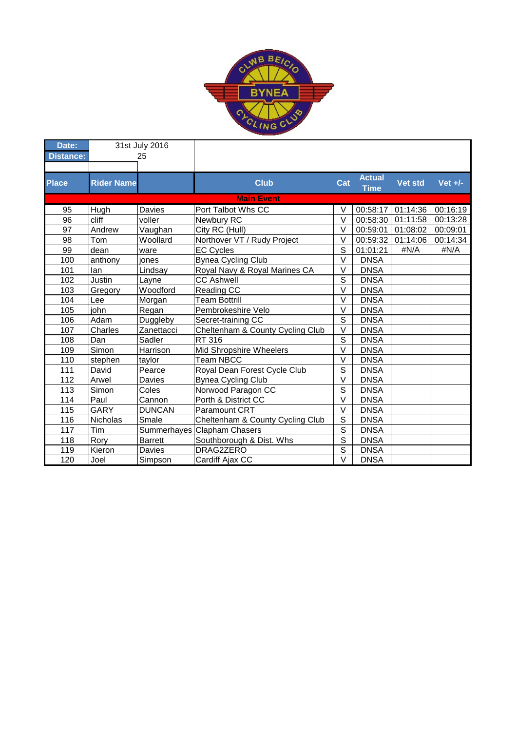

| Date:            |                   | 31st July 2016 |                                  |                         |                              |                |           |
|------------------|-------------------|----------------|----------------------------------|-------------------------|------------------------------|----------------|-----------|
| <b>Distance:</b> | 25                |                |                                  |                         |                              |                |           |
|                  |                   |                |                                  |                         |                              |                |           |
| <b>Place</b>     | <b>Rider Name</b> |                | <b>Club</b>                      | Cat                     | <b>Actual</b><br><b>Time</b> | <b>Vet std</b> | Vet $+/-$ |
|                  |                   |                | <b>Main Event</b>                |                         |                              |                |           |
| 95               | Hugh              | Davies         | Port Talbot Whs CC               | $\vee$                  | 00:58:17                     | 01:14:36       | 00:16:19  |
| 96               | cliff             | voller         | Newbury RC                       | $\vee$                  | 00:58:30                     | 01:11:58       | 00:13:28  |
| 97               | Andrew            | Vaughan        | City RC (Hull)                   | $\overline{\vee}$       | 00:59:01                     | 01:08:02       | 00:09:01  |
| 98               | Tom               | Woollard       | Northover VT / Rudy Project      | $\vee$                  | 00:59:32                     | 01:14:06       | 00:14:34  |
| 99               | dean              | ware           | <b>EC Cycles</b>                 | $\overline{\mathsf{s}}$ | 01:01:21                     | #N/A           | #N/A      |
| 100              | anthony           | jones          | <b>Bynea Cycling Club</b>        | $\vee$                  | <b>DNSA</b>                  |                |           |
| 101              | lan               | Lindsay        | Royal Navy & Royal Marines CA    | $\vee$                  | <b>DNSA</b>                  |                |           |
| 102              | Justin            | Layne          | <b>CC Ashwell</b>                | $\overline{s}$          | <b>DNSA</b>                  |                |           |
| 103              | Gregory           | Woodford       | Reading CC                       | V                       | <b>DNSA</b>                  |                |           |
| 104              | Lee               | Morgan         | Team Bottrill                    | $\vee$                  | <b>DNSA</b>                  |                |           |
| 105              | iohn              | Regan          | Pembrokeshire Velo               | $\vee$                  | <b>DNSA</b>                  |                |           |
| 106              | Adam              | Duggleby       | Secret-training CC               | S                       | <b>DNSA</b>                  |                |           |
| 107              | Charles           | Zanettacci     | Cheltenham & County Cycling Club | $\vee$                  | <b>DNSA</b>                  |                |           |
| 108              | Dan               | Sadler         | RT 316                           | $\overline{s}$          | <b>DNSA</b>                  |                |           |
| 109              | Simon             | Harrison       | Mid Shropshire Wheelers          | $\overline{\vee}$       | <b>DNSA</b>                  |                |           |
| 110              | stephen           | taylor         | <b>Team NBCC</b>                 | $\vee$                  | <b>DNSA</b>                  |                |           |
| 111              | David             | Pearce         | Royal Dean Forest Cycle Club     | $\overline{s}$          | <b>DNSA</b>                  |                |           |
| 112              | Arwel             | Davies         | <b>Bynea Cycling Club</b>        | $\vee$                  | <b>DNSA</b>                  |                |           |
| 113              | Simon             | Coles          | Norwood Paragon CC               | S                       | <b>DNSA</b>                  |                |           |
| 114              | Paul              | Cannon         | Porth & District CC              | $\vee$                  | <b>DNSA</b>                  |                |           |
| 115              | <b>GARY</b>       | <b>DUNCAN</b>  | <b>Paramount CRT</b>             | $\overline{\vee}$       | <b>DNSA</b>                  |                |           |
| 116              | Nicholas          | Smale          | Cheltenham & County Cycling Club | S                       | <b>DNSA</b>                  |                |           |
| 117              | Tim               |                | Summerhayes Clapham Chasers      | $\overline{s}$          | <b>DNSA</b>                  |                |           |
| $\overline{118}$ | Rory              | <b>Barrett</b> | Southborough & Dist. Whs         | $\overline{s}$          | <b>DNSA</b>                  |                |           |
| 119              | Kieron            | Davies         | DRAG2ZERO                        | $\overline{s}$          | <b>DNSA</b>                  |                |           |
| 120              | Joel              | Simpson        | Cardiff Ajax CC                  | $\overline{\vee}$       | <b>DNSA</b>                  |                |           |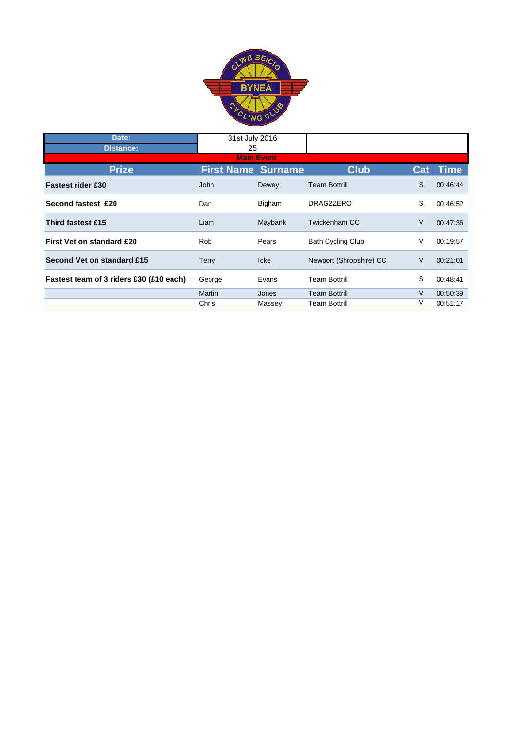

| Date:                                   | 31st July 2016            |         |                          |        |             |  |  |  |
|-----------------------------------------|---------------------------|---------|--------------------------|--------|-------------|--|--|--|
| <b>Distance:</b>                        | 25                        |         |                          |        |             |  |  |  |
| <b>Main Event</b>                       |                           |         |                          |        |             |  |  |  |
| <b>Prize</b>                            | <b>First Name Surname</b> |         | <b>Club</b>              | Cat    | <b>Time</b> |  |  |  |
| <b>Fastest rider £30</b>                | John                      | Dewey   | <b>Team Bottrill</b>     | S      | 00:46:44    |  |  |  |
| Second fastest £20                      | Dan                       | Bigham  | DRAG2ZERO                | S      | 00:46:52    |  |  |  |
| Third fastest £15                       | Liam                      | Maybank | Twickenham CC            | V      | 00:47:36    |  |  |  |
| <b>First Vet on standard £20</b>        | <b>Rob</b>                | Pears   | <b>Bath Cycling Club</b> | V      | 00:19:57    |  |  |  |
| Second Vet on standard £15              | Terry                     | Icke    | Newport (Shropshire) CC  | V      | 00:21:01    |  |  |  |
| Fastest team of 3 riders £30 (£10 each) | George                    | Evans   | <b>Team Bottrill</b>     | S      | 00:48:41    |  |  |  |
|                                         | Martin                    | Jones   | <b>Team Bottrill</b>     | $\vee$ | 00:50:39    |  |  |  |
|                                         | Chris                     | Massey  | <b>Team Bottrill</b>     | V      | 00:51:17    |  |  |  |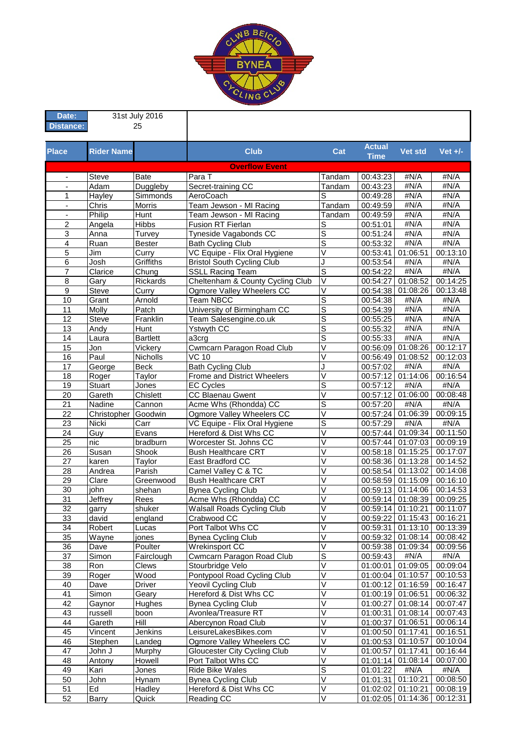

| Date:                    | 31st July 2016    |                   |                                                             |                                                    |                      |                               |                      |
|--------------------------|-------------------|-------------------|-------------------------------------------------------------|----------------------------------------------------|----------------------|-------------------------------|----------------------|
| <b>Distance:</b>         |                   | 25                |                                                             |                                                    |                      |                               |                      |
|                          |                   |                   |                                                             |                                                    | <b>Actual</b>        |                               |                      |
| <b>Place</b>             | <b>Rider Name</b> |                   | <b>Club</b>                                                 | Cat                                                | <b>Time</b>          | Vet std                       | Vet $+/-$            |
|                          |                   |                   | <b>Overflow Event</b>                                       |                                                    |                      |                               |                      |
| $\overline{\phantom{a}}$ | Steve             | <b>Bate</b>       | Para T                                                      | Tandam                                             | 00:43:23             | #N/A                          | #N/A                 |
|                          | Adam              | Duggleby          | Secret-training CC                                          | Tandam                                             | 00:43:23             | #N/A                          | #N/A                 |
| 1                        | Hayley            | Simmonds          | AeroCoach                                                   | S                                                  | 00:49:28             | #N/A                          | #N/A                 |
| $\blacksquare$           | Chris             | Morris            | Team Jewson - MI Racing                                     | Tandam                                             | 00:49:59             | #N/A                          | #N/A                 |
| $\overline{\phantom{a}}$ | Philip            | Hunt              | Team Jewson - MI Racing                                     | Tandam                                             | 00:49:59             | #N/A                          | #N/A                 |
| $\overline{\mathbf{c}}$  | Angela            | <b>Hibbs</b>      | Fusion RT Fierlan                                           | S                                                  | 00:51:01             | #N/A                          | #N/A                 |
| 3                        | Anna              | Turvey            | Tyneside Vagabonds CC                                       | $\overline{s}$                                     | 00:51:24             | #N/A                          | #N/A                 |
| $\overline{4}$           | Ruan              | <b>Bester</b>     | <b>Bath Cycling Club</b>                                    | $\overline{\mathsf{s}}$                            | 00:53:32             | #N/A                          | #N/A                 |
| 5                        | Jim               | Curry             | VC Equipe - Flix Oral Hygiene                               | $\vee$                                             | 00:53:41             | 01:06:51                      | 00:13:10             |
| 6                        | Josh              | Griffiths         | <b>Bristol South Cycling Club</b>                           | J<br>$\overline{s}$                                | 00:53:54             | #N/A                          | #N/A                 |
| 7                        | Clarice           | Chung<br>Rickards | <b>SSLL Racing Team</b><br>Cheltenham & County Cycling Club | $\overline{\vee}$                                  | 00:54:22             | #N/A<br>01:08:52              | #N/A<br>00:14:25     |
| 8<br>$\overline{9}$      | Gary<br>Steve     | Curry             | Ogmore Valley Wheelers CC                                   | $\overline{\vee}$                                  | 00:54:27<br>00:54:38 | 01:08:26                      | 00:13:48             |
| 10                       | Grant             | Arnold            | <b>Team NBCC</b>                                            | $\overline{s}$                                     | 00:54:38             | #N/A                          | $#N/\overline{A}$    |
| 11                       | Molly             | Patch             | University of Birmingham CC                                 | $\overline{s}$                                     | 00:54:39             | #N/A                          | #N/A                 |
| 12                       | Steve             | Franklin          | Team Salesengine.co.uk                                      | $\overline{s}$                                     | 00:55:25             | #N/A                          | #N/A                 |
| 13                       | Andy              | Hunt              | Ystwyth CC                                                  | $\overline{s}$                                     | 00:55:32             | #N/A                          | #N/A                 |
| $\overline{14}$          | Laura             | <b>Bartlett</b>   | a3crg                                                       | S                                                  | 00:55:33             | #N/A                          | #N/A                 |
| $\overline{15}$          | Jon               | Vickery           | Cwmcarn Paragon Road Club                                   | $\overline{\mathsf{v}}$                            | 00:56:09             | 01:08:26                      | 00:12:17             |
| $\overline{16}$          | Paul              | Nicholls          | $\overline{VC}$ 10                                          | $\overline{\mathsf{V}}$                            | 00:56:49             | 01:08:52                      | 00:12:03             |
| 17                       | George            | <b>Beck</b>       | <b>Bath Cycling Club</b>                                    | J                                                  | 00:57:02             | #N/A                          | #N/A                 |
| 18                       | Roger             | Taylor            | Frome and District Wheelers                                 | $\overline{\vee}$                                  |                      | 00:57:12 01:14:06             | 00:16:54             |
| 19                       | <b>Stuart</b>     | Jones             | <b>EC Cycles</b>                                            | $\overline{s}$                                     | 00:57:12             | #N/A                          | #N/A                 |
| $\overline{20}$          | Gareth            | Chislett          | CC Blaenau Gwent                                            | $\overline{\vee}$                                  |                      | 00:57:12 01:06:00             | 00:08:48             |
| 21                       | Nadine            | Cannon            | Acme Whs (Rhondda) CC                                       | $\overline{s}$                                     | 00:57:20             | $\overline{\textbf{H}}$ N/A   | #N/A                 |
| 22                       | Christopher       | Goodwin           | Ogmore Valley Wheelers CC                                   | $\overline{\vee}$                                  | 00:57:24             | 01:06:39                      | 00:09:15             |
| $\overline{23}$          | <b>Nicki</b>      | Carr              | VC Equipe - Flix Oral Hygiene                               | $\overline{s}$                                     | 00:57:29             | #N/A                          | #N/A                 |
| 24                       | Guy               | Evans             | Hereford & Dist Whs CC                                      | $\vee$                                             | 00:57:44             | 01:09:34                      | 00:11:50             |
| $\overline{25}$          | nic               | bradburn          | Worcester St. Johns CC                                      | $\overline{\mathsf{v}}$                            | 00:57:44             | 01:07:03                      | 00:09:19             |
| $\overline{26}$          | Susan             | Shook             | <b>Bush Healthcare CRT</b>                                  | $\overline{\vee}$<br>$\vee$                        |                      | 00:58:18 01:15:25             | 00:17:07             |
| 27                       | karen             | Taylor<br>Parish  | East Bradford CC                                            | V                                                  |                      | 00:58:36 01:13:28             | 00:14:52             |
| 28<br>29                 | Andrea<br>Clare   | Greenwood         | Camel Valley C & TC<br><b>Bush Healthcare CRT</b>           | V                                                  | 00:58:54             | 01:13:02<br>00:58:59 01:15:09 | 00:14:08<br>00:16:10 |
| 30                       | john              | shehan            | <b>Bynea Cycling Club</b>                                   | V                                                  |                      | 00:59:13 01:14:06             | 00:14:53             |
| $\overline{31}$          | Jeffrey           | Rees              | Acme Whs (Rhondda) CC                                       | V                                                  |                      | 00:59:14 01:08:39             | 00:09:25             |
| 32                       | garry             | shuker            | Walsall Roads Cycling Club                                  | $\vee$                                             |                      | 00:59:14 01:10:21             | 00:11:07             |
| 33                       | david             | england           | Crabwood CC                                                 | $\overline{\mathsf{v}}$                            | 00:59:22             | 01:15:43                      | 00:16:21             |
| 34                       | Robert            | Lucas             | Port Talbot Whs CC                                          | V                                                  | 00:59:31             | 01:13:10                      | 00:13:39             |
| 35                       | Wayne             | jones             | <b>Bynea Cycling Club</b>                                   | V                                                  |                      | 00:59:32 01:08:14             | 00:08:42             |
| 36                       | Dave              | Poulter           | Wrekinsport CC                                              | $\overline{\vee}$                                  |                      | 00:59:38 01:09:34             | 00:09:56             |
| 37                       | Simon             | Fairclough        | Cwmcarn Paragon Road Club                                   | $\overline{s}$                                     | 00:59:43             | #N/A                          | #N/A                 |
| 38                       | Ron               | Clews             | Stourbridge Velo                                            | $\overline{\vee}$                                  | 01:00:01             | 01:09:05                      | 00:09:04             |
| 39                       | Roger             | Wood              | Pontypool Road Cycling Club                                 | $\overline{\mathsf{v}}$                            | 01:00:04             | 01:10:57                      | 00:10:53             |
| 40                       | Dave              | <b>Driver</b>     | Yeovil Cycling Club                                         | $\overline{\vee}$                                  |                      | 01:00:12 01:16:59             | 00:16:47             |
| 41                       | Simon             | Geary             | Hereford & Dist Whs CC                                      | $\overline{\vee}$                                  |                      | 01:00:19 01:06:51             | 00:06:32             |
| 42                       | Gaynor            | Hughes            | <b>Bynea Cycling Club</b>                                   | $\overline{\vee}$                                  |                      | 01:00:27 01:08:14             | 00:07:47             |
| 43                       | russell           | boon              | Avonlea/Treasure RT                                         | V                                                  |                      | 01:00:31 01:08:14             | 00:07:43             |
| 44                       | Gareth            | Hill              | Abercynon Road Club                                         | $\overline{\vee}$                                  | 01:00:37             | 01:06:51                      | 00:06:14             |
| 45                       | Vincent           | Jenkins           | LeisureLakesBikes.com                                       | $\overline{\vee}$                                  |                      | 01:00:50 01:17:41             | 00:16:51             |
| 46                       | Stephen           | Landeg            | Ogmore Valley Wheelers CC                                   | V                                                  |                      | 01:00:53 01:10:57             | 00:10:04             |
| 47<br>48                 | John J            | Murphy            | Gloucester City Cycling Club                                | $\overline{\mathsf{V}}$<br>$\overline{\mathsf{v}}$ | 01:00:57             | 01:17:41                      | 00:16:44             |
| 49                       | Antony<br>Kari    | Howell            | Port Talbot Whs CC<br>Ride Bike Wales                       | $\overline{s}$                                     | 01:01:14             | 01:08:14<br>#N/A              | 00:07:00<br>#N/A     |
| 50                       | John              | Jones             | <b>Bynea Cycling Club</b>                                   | $\overline{\vee}$                                  | 01:01:22<br>01:01:31 | 01:10:21                      | 00:08:50             |
| 51                       | Ed                | Hynam<br>Hadley   | Hereford & Dist Whs CC                                      | $\vee$                                             | 01:02:02 01:10:21    |                               | 00:08:19             |
| 52                       | <b>Barry</b>      | Quick             | Reading CC                                                  | $\vee$                                             |                      | 01:02:05 01:14:36             | 00:12:31             |
|                          |                   |                   |                                                             |                                                    |                      |                               |                      |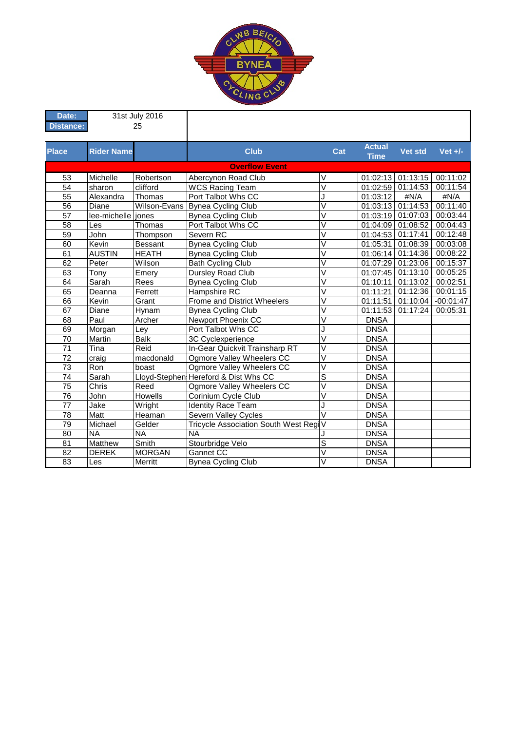

| Date:            | 31st July 2016     |                |                                       |                         |                              |                   |             |
|------------------|--------------------|----------------|---------------------------------------|-------------------------|------------------------------|-------------------|-------------|
| <b>Distance:</b> | 25                 |                |                                       |                         |                              |                   |             |
|                  |                    |                |                                       |                         |                              |                   |             |
| <b>Place</b>     | <b>Rider Name</b>  |                | <b>Club</b>                           | Cat                     | <b>Actual</b><br><b>Time</b> | Vet std           | Vet $+/-$   |
|                  |                    |                | <b>Overflow Event</b>                 |                         |                              |                   |             |
| 53               | Michelle           | Robertson      | Abercynon Road Club                   | $\vee$                  |                              | 01:02:13 01:13:15 | 00:11:02    |
| $\overline{54}$  | sharon             | clifford       | <b>WCS Racing Team</b>                | $\overline{\vee}$       | 01:02:59                     | 01:14:53          | 00:11:54    |
| $\overline{55}$  | Alexandra          | Thomas         | Port Talbot Whs CC                    | J                       | 01:03:12                     | #N/A              | #N/A        |
| $\overline{56}$  | Diane              | Wilson-Evans   | <b>Bynea Cycling Club</b>             | $\overline{\vee}$       | 01:03:13 01:14:53            |                   | 00:11:40    |
| 57               | lee-michelle iones |                | <b>Bynea Cycling Club</b>             | V                       | 01:03:19 01:07:03            |                   | 00:03:44    |
| $\overline{58}$  | Les                | Thomas         | Port Talbot Whs CC                    | V                       | 01:04:09                     | 01:08:52          | 00:04:43    |
| $\overline{59}$  | John               | Thompson       | Severn RC                             | V                       | 01:04:53                     | 01:17:41          | 00:12:48    |
| 60               | Kevin              | <b>Bessant</b> | Bynea Cycling Club                    | $\overline{\mathsf{v}}$ | 01:05:31                     | 01:08:39          | 00:03:08    |
| 61               | <b>AUSTIN</b>      | <b>HEATH</b>   | <b>Bynea Cycling Club</b>             | V                       | 01:06:14                     | 01:14:36          | 00:08:22    |
| 62               | Peter              | Wilson         | <b>Bath Cycling Club</b>              | V                       | 01:07:29                     | 01:23:06          | 00:15:37    |
| 63               | Tony               | Emery          | <b>Dursley Road Club</b>              | V                       |                              | 01:07:45 01:13:10 | 00:05:25    |
| 64               | Sarah              | Rees           | <b>Bynea Cycling Club</b>             | $\vee$                  | 01:10:11                     | 01:13:02          | 00:02:51    |
| 65               | Deanna             | Ferrett        | Hampshire RC                          | $\vee$                  | 01:11:21                     | 01:12:36          | 00:01:15    |
| 66               | Kevin              | Grant          | <b>Frome and District Wheelers</b>    | $\overline{\vee}$       | 01:11:51                     | 01:10:04          | $-00:01:47$ |
| 67               | Diane              | Hynam          | <b>Bynea Cycling Club</b>             | $\overline{\vee}$       | 01:11:53                     | 01:17:24          | 00:05:31    |
| 68               | Paul               | Archer         | Newport Phoenix CC                    | V                       | <b>DNSA</b>                  |                   |             |
| 69               | Morgan             | Ley            | Port Talbot Whs CC                    | J                       | <b>DNSA</b>                  |                   |             |
| 70               | Martin             | <b>Balk</b>    | 3C Cyclexperience                     | $\vee$                  | <b>DNSA</b>                  |                   |             |
| 71               | Tina               | Reid           | In-Gear Quickvit Trainsharp RT        | V                       | <b>DNSA</b>                  |                   |             |
| 72               | craig              | macdonald      | Ogmore Valley Wheelers CC             | V                       | <b>DNSA</b>                  |                   |             |
| $\overline{73}$  | Ron                | boast          | Ogmore Valley Wheelers CC             | V                       | <b>DNSA</b>                  |                   |             |
| $\overline{74}$  | Sarah              |                | Lloyd-Stephen Hereford & Dist Whs CC  | $\overline{\mathsf{s}}$ | <b>DNSA</b>                  |                   |             |
| $\overline{75}$  | Chris              | Reed           | Ogmore Valley Wheelers CC             | $\overline{\mathsf{V}}$ | <b>DNSA</b>                  |                   |             |
| $\overline{76}$  | John               | Howells        | Corinium Cycle Club                   | $\overline{\mathsf{V}}$ | <b>DNSA</b>                  |                   |             |
| 77               | Jake               | Wright         | <b>Identity Race Team</b>             | J                       | <b>DNSA</b>                  |                   |             |
| 78               | Matt               | Heaman         | Severn Valley Cycles                  | $\vee$                  | <b>DNSA</b>                  |                   |             |
| 79               | Michael            | Gelder         | Tricycle Association South West RegiV |                         | <b>DNSA</b>                  |                   |             |
| 80               | <b>NA</b>          | <b>NA</b>      | <b>NA</b>                             |                         | <b>DNSA</b>                  |                   |             |
| 81               | Matthew            | Smith          | Stourbridge Velo                      | $\overline{s}$          | <b>DNSA</b>                  |                   |             |
| 82               | <b>DEREK</b>       | <b>MORGAN</b>  | Gannet CC                             | $\overline{\mathsf{V}}$ | <b>DNSA</b>                  |                   |             |
| $\overline{83}$  | Les                | Merritt        | <b>Bynea Cycling Club</b>             | $\vee$                  | <b>DNSA</b>                  |                   |             |